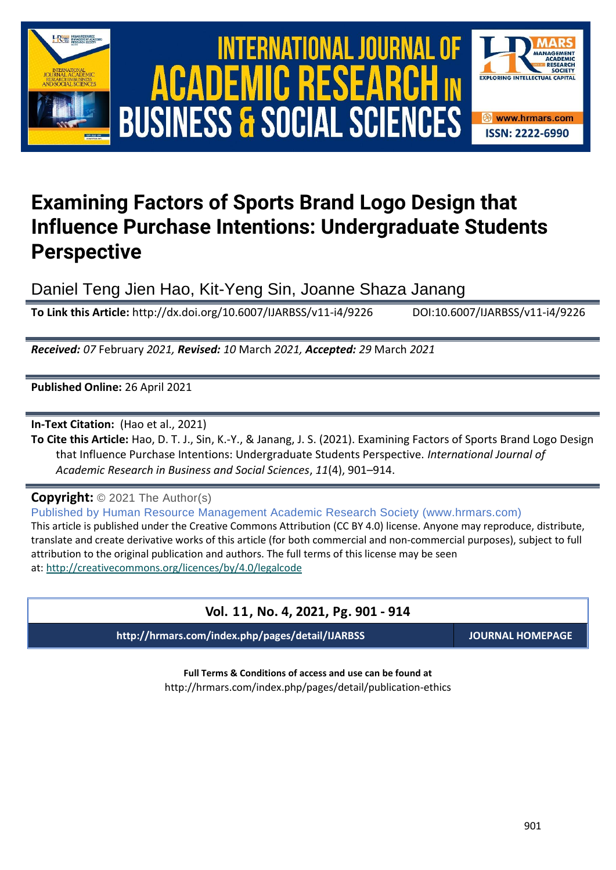





# **Examining Factors of Sports Brand Logo Design that Influence Purchase Intentions: Undergraduate Students Perspective**

Daniel Teng Jien Hao, Kit-Yeng Sin, Joanne Shaza Janang

**To Link this Article:** http://dx.doi.org/10.6007/IJARBSS/v11-i4/9226 DOI:10.6007/IJARBSS/v11-i4/9226

*Received: 07* February *2021, Revised: 10* March *2021, Accepted: 29* March *2021*

**Published Online:** 26 April 2021

**In-Text Citation:** (Hao et al., 2021)

**To Cite this Article:** Hao, D. T. J., Sin, K.-Y., & Janang, J. S. (2021). Examining Factors of Sports Brand Logo Design that Influence Purchase Intentions: Undergraduate Students Perspective. *International Journal of Academic Research in Business and Social Sciences*, *11*(4), 901–914.

**Copyright:** © 2021 The Author(s)

Published by Human Resource Management Academic Research Society (www.hrmars.com) This article is published under the Creative Commons Attribution (CC BY 4.0) license. Anyone may reproduce, distribute, translate and create derivative works of this article (for both commercial and non-commercial purposes), subject to full attribution to the original publication and authors. The full terms of this license may be seen at: <http://creativecommons.org/licences/by/4.0/legalcode>

# **Vol. 11, No. 4, 2021, Pg. 901 - 914**

**http://hrmars.com/index.php/pages/detail/IJARBSS JOURNAL HOMEPAGE**

**Full Terms & Conditions of access and use can be found at** http://hrmars.com/index.php/pages/detail/publication-ethics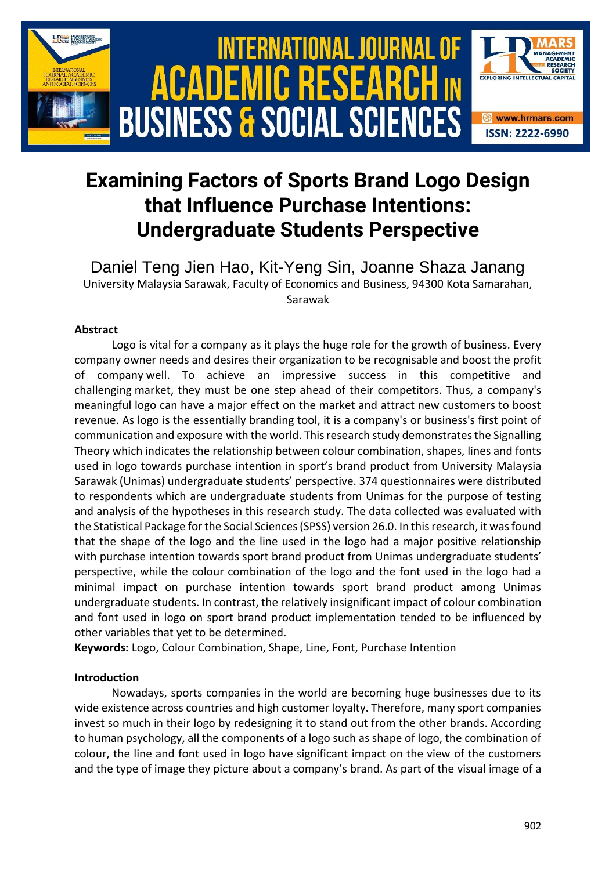

# **Examining Factors of Sports Brand Logo Design that Influence Purchase Intentions: Undergraduate Students Perspective**

Daniel Teng Jien Hao, Kit-Yeng Sin, Joanne Shaza Janang University Malaysia Sarawak, Faculty of Economics and Business, 94300 Kota Samarahan, Sarawak

# **Abstract**

Logo is vital for a company as it plays the huge role for the growth of business. Every company owner needs and desires their organization to be recognisable and boost the profit of company well. To achieve an impressive success in this competitive and challenging market, they must be one step ahead of their competitors. Thus, a company's meaningful logo can have a major effect on the market and attract new customers to boost revenue. As logo is the essentially branding tool, it is a company's or business's first point of communication and exposure with the world. This research study demonstrates the Signalling Theory which indicates the relationship between colour combination, shapes, lines and fonts used in logo towards purchase intention in sport's brand product from University Malaysia Sarawak (Unimas) undergraduate students' perspective. 374 questionnaires were distributed to respondents which are undergraduate students from Unimas for the purpose of testing and analysis of the hypotheses in this research study. The data collected was evaluated with the Statistical Package for the Social Sciences (SPSS) version 26.0. In this research, it was found that the shape of the logo and the line used in the logo had a major positive relationship with purchase intention towards sport brand product from Unimas undergraduate students' perspective, while the colour combination of the logo and the font used in the logo had a minimal impact on purchase intention towards sport brand product among Unimas undergraduate students. In contrast, the relatively insignificant impact of colour combination and font used in logo on sport brand product implementation tended to be influenced by other variables that yet to be determined.

**Keywords:** Logo, Colour Combination, Shape, Line, Font, Purchase Intention

# **Introduction**

Nowadays, sports companies in the world are becoming huge businesses due to its wide existence across countries and high customer loyalty. Therefore, many sport companies invest so much in their logo by redesigning it to stand out from the other brands. According to human psychology, all the components of a logo such as shape of logo, the combination of colour, the line and font used in logo have significant impact on the view of the customers and the type of image they picture about a company's brand. As part of the visual image of a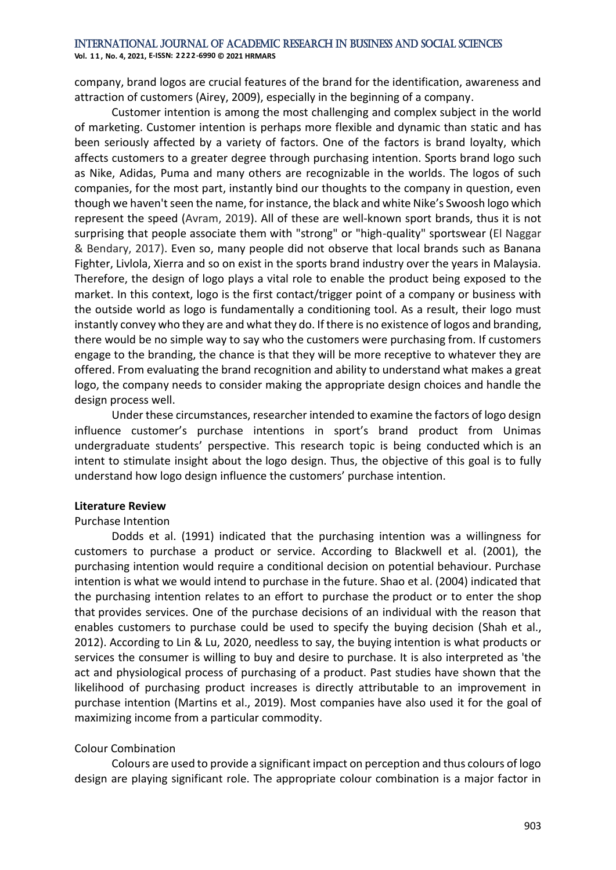**Vol. 1 1 , No. 4, 2021, E-ISSN: 2222-6990 © 2021 HRMARS**

company, brand logos are crucial features of the brand for the identification, awareness and attraction of customers (Airey, 2009), especially in the beginning of a company.

Customer intention is among the most challenging and complex subject in the world of marketing. Customer intention is perhaps more flexible and dynamic than static and has been seriously affected by a variety of factors. One of the factors is brand loyalty, which affects customers to a greater degree through purchasing intention. Sports brand logo such as Nike, Adidas, Puma and many others are recognizable in the worlds. The logos of such companies, for the most part, instantly bind our thoughts to the company in question, even though we haven't seen the name, for instance, the black and white Nike's Swoosh logo which represent the speed (Avram, 2019). All of these are well-known sport brands, thus it is not surprising that people associate them with "strong" or "high-quality" sportswear (El Naggar & Bendary, 2017). Even so, many people did not observe that local brands such as Banana Fighter, Livlola, Xierra and so on exist in the sports brand industry over the years in Malaysia. Therefore, the design of logo plays a vital role to enable the product being exposed to the market. In this context, logo is the first contact/trigger point of a company or business with the outside world as logo is fundamentally a conditioning tool. As a result, their logo must instantly convey who they are and what they do. If there is no existence of logos and branding, there would be no simple way to say who the customers were purchasing from. If customers engage to the branding, the chance is that they will be more receptive to whatever they are offered. From evaluating the brand recognition and ability to understand what makes a great logo, the company needs to consider making the appropriate design choices and handle the design process well.

Under these circumstances, researcher intended to examine the factors of logo design influence customer's purchase intentions in sport's brand product from Unimas undergraduate students' perspective. This research topic is being conducted which is an intent to stimulate insight about the logo design. Thus, the objective of this goal is to fully understand how logo design influence the customers' purchase intention.

# **Literature Review**

# Purchase Intention

Dodds et al. (1991) indicated that the purchasing intention was a willingness for customers to purchase a product or service. According to Blackwell et al. (2001), the purchasing intention would require a conditional decision on potential behaviour. Purchase intention is what we would intend to purchase in the future. Shao et al. (2004) indicated that the purchasing intention relates to an effort to purchase the product or to enter the shop that provides services. One of the purchase decisions of an individual with the reason that enables customers to purchase could be used to specify the buying decision (Shah et al., 2012). According to Lin & Lu, 2020, needless to say, the buying intention is what products or services the consumer is willing to buy and desire to purchase. It is also interpreted as 'the act and physiological process of purchasing of a product. Past studies have shown that the likelihood of purchasing product increases is directly attributable to an improvement in purchase intention (Martins et al., 2019). Most companies have also used it for the goal of maximizing income from a particular commodity.

# Colour Combination

Colours are used to provide a significant impact on perception and thus colours of logo design are playing significant role. The appropriate colour combination is a major factor in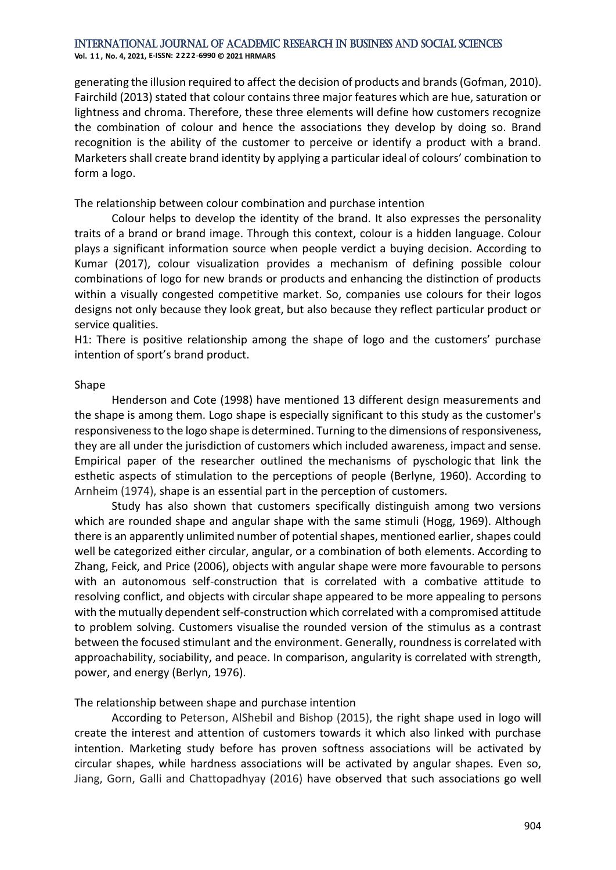**Vol. 1 1 , No. 4, 2021, E-ISSN: 2222-6990 © 2021 HRMARS**

generating the illusion required to affect the decision of products and brands (Gofman, 2010). Fairchild (2013) stated that colour contains three major features which are hue, saturation or lightness and chroma. Therefore, these three elements will define how customers recognize the combination of colour and hence the associations they develop by doing so. Brand recognition is the ability of the customer to perceive or identify a product with a brand. Marketers shall create brand identity by applying a particular ideal of colours' combination to form a logo.

## The relationship between colour combination and purchase intention

Colour helps to develop the identity of the brand. It also expresses the personality traits of a brand or brand image. Through this context, colour is a hidden language. Colour plays a significant information source when people verdict a buying decision. According to Kumar (2017), colour visualization provides a mechanism of defining possible colour combinations of logo for new brands or products and enhancing the distinction of products within a visually congested competitive market. So, companies use colours for their logos designs not only because they look great, but also because they reflect particular product or service qualities.

H1: There is positive relationship among the shape of logo and the customers' purchase intention of sport's brand product.

## Shape

Henderson and Cote (1998) have mentioned 13 different design measurements and the shape is among them. Logo shape is especially significant to this study as the customer's responsiveness to the logo shape is determined. Turning to the dimensions of responsiveness, they are all under the jurisdiction of customers which included awareness, impact and sense. Empirical paper of the researcher outlined the mechanisms of pyschologic that link the esthetic aspects of stimulation to the perceptions of people (Berlyne, 1960). According to Arnheim (1974), shape is an essential part in the perception of customers.

Study has also shown that customers specifically distinguish among two versions which are rounded shape and angular shape with the same stimuli (Hogg, 1969). Although there is an apparently unlimited number of potential shapes, mentioned earlier, shapes could well be categorized either circular, angular, or a combination of both elements. According to Zhang, Feick, and Price (2006), objects with angular shape were more favourable to persons with an autonomous self-construction that is correlated with a combative attitude to resolving conflict, and objects with circular shape appeared to be more appealing to persons with the mutually dependent self-construction which correlated with a compromised attitude to problem solving. Customers visualise the rounded version of the stimulus as a contrast between the focused stimulant and the environment. Generally, roundness is correlated with approachability, sociability, and peace. In comparison, angularity is correlated with strength, power, and energy (Berlyn, 1976).

# The relationship between shape and purchase intention

According to Peterson, AlShebil and Bishop (2015), the right shape used in logo will create the interest and attention of customers towards it which also linked with purchase intention. Marketing study before has proven softness associations will be activated by circular shapes, while hardness associations will be activated by angular shapes. Even so, Jiang, Gorn, Galli and Chattopadhyay (2016) have observed that such associations go well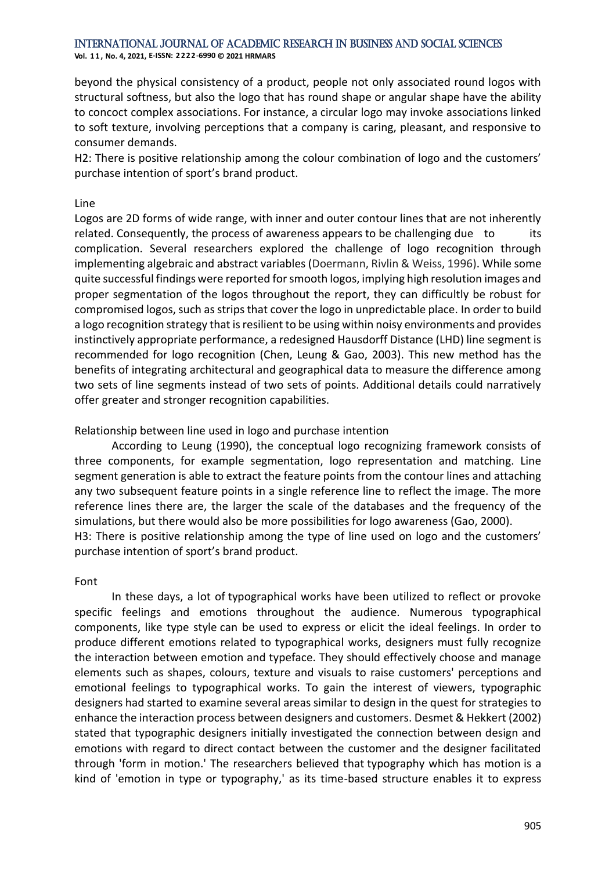**Vol. 1 1 , No. 4, 2021, E-ISSN: 2222-6990 © 2021 HRMARS**

beyond the physical consistency of a product, people not only associated round logos with structural softness, but also the logo that has round shape or angular shape have the ability to concoct complex associations. For instance, a circular logo may invoke associations linked to soft texture, involving perceptions that a company is caring, pleasant, and responsive to consumer demands.

H2: There is positive relationship among the colour combination of logo and the customers' purchase intention of sport's brand product.

## Line

Logos are 2D forms of wide range, with inner and outer contour lines that are not inherently related. Consequently, the process of awareness appears to be challenging due to its complication. Several researchers explored the challenge of logo recognition through implementing algebraic and abstract variables (Doermann, Rivlin & Weiss, 1996). While some quite successful findings were reported for smooth logos, implying high resolution images and proper segmentation of the logos throughout the report, they can difficultly be robust for compromised logos, such as strips that cover the logo in unpredictable place. In order to build a logo recognition strategy that is resilient to be using within noisy environments and provides instinctively appropriate performance, a redesigned Hausdorff Distance (LHD) line segment is recommended for logo recognition (Chen, Leung & Gao, 2003). This new method has the benefits of integrating architectural and geographical data to measure the difference among two sets of line segments instead of two sets of points. Additional details could narratively offer greater and stronger recognition capabilities.

## Relationship between line used in logo and purchase intention

According to Leung (1990), the conceptual logo recognizing framework consists of three components, for example segmentation, logo representation and matching. Line segment generation is able to extract the feature points from the contour lines and attaching any two subsequent feature points in a single reference line to reflect the image. The more reference lines there are, the larger the scale of the databases and the frequency of the simulations, but there would also be more possibilities for logo awareness (Gao, 2000). H3: There is positive relationship among the type of line used on logo and the customers' purchase intention of sport's brand product.

### Font

In these days, a lot of typographical works have been utilized to reflect or provoke specific feelings and emotions throughout the audience. Numerous typographical components, like type style can be used to express or elicit the ideal feelings. In order to produce different emotions related to typographical works, designers must fully recognize the interaction between emotion and typeface. They should effectively choose and manage elements such as shapes, colours, texture and visuals to raise customers' perceptions and emotional feelings to typographical works. To gain the interest of viewers, typographic designers had started to examine several areas similar to design in the quest for strategies to enhance the interaction process between designers and customers. Desmet & Hekkert (2002) stated that typographic designers initially investigated the connection between design and emotions with regard to direct contact between the customer and the designer facilitated through 'form in motion.' The researchers believed that typography which has motion is a kind of 'emotion in type or typography,' as its time-based structure enables it to express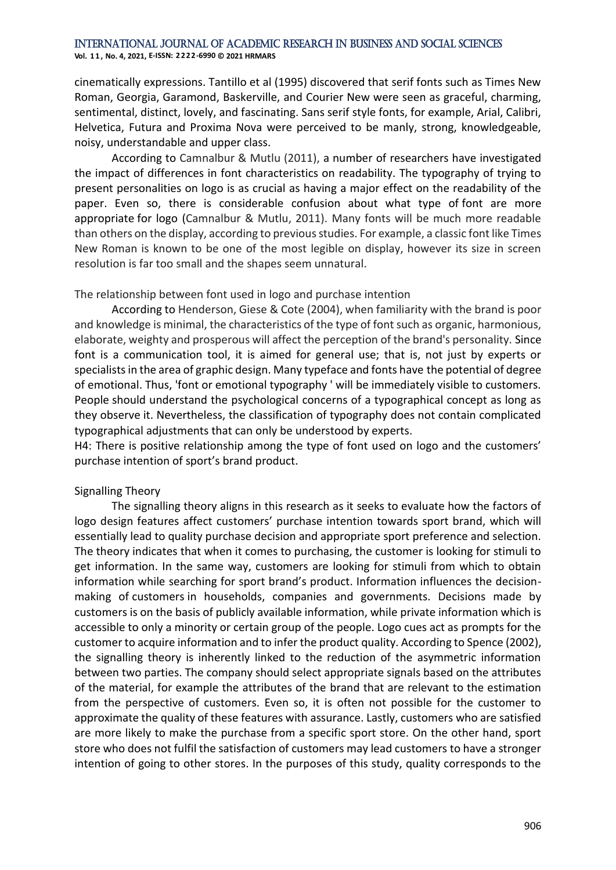**Vol. 1 1 , No. 4, 2021, E-ISSN: 2222-6990 © 2021 HRMARS**

cinematically expressions. Tantillo et al (1995) discovered that serif fonts such as Times New Roman, Georgia, Garamond, Baskerville, and Courier New were seen as graceful, charming, sentimental, distinct, lovely, and fascinating. Sans serif style fonts, for example, Arial, Calibri, Helvetica, Futura and Proxima Nova were perceived to be manly, strong, knowledgeable, noisy, understandable and upper class.

According to Camnalbur & Mutlu (2011), a number of researchers have investigated the impact of differences in font characteristics on readability. The typography of trying to present personalities on logo is as crucial as having a major effect on the readability of the paper. Even so, there is considerable confusion about what type of font are more appropriate for logo (Camnalbur & Mutlu, 2011). Many fonts will be much more readable than others on the display, according to previous studies. For example, a classic font like Times New Roman is known to be one of the most legible on display, however its size in screen resolution is far too small and the shapes seem unnatural.

The relationship between font used in logo and purchase intention

According to Henderson, Giese & Cote (2004), when familiarity with the brand is poor and knowledge is minimal, the characteristics of the type of font such as organic, harmonious, elaborate, weighty and prosperous will affect the perception of the brand's personality. Since font is a communication tool, it is aimed for general use; that is, not just by experts or specialists in the area of graphic design. Many typeface and fonts have the potential of degree of emotional. Thus, 'font or emotional typography ' will be immediately visible to customers. People should understand the psychological concerns of a typographical concept as long as they observe it. Nevertheless, the classification of typography does not contain complicated typographical adjustments that can only be understood by experts.

H4: There is positive relationship among the type of font used on logo and the customers' purchase intention of sport's brand product.

# Signalling Theory

The signalling theory aligns in this research as it seeks to evaluate how the factors of logo design features affect customers' purchase intention towards sport brand, which will essentially lead to quality purchase decision and appropriate sport preference and selection. The theory indicates that when it comes to purchasing, the customer is looking for stimuli to get information. In the same way, customers are looking for stimuli from which to obtain information while searching for sport brand's product. Information influences the decisionmaking of customers in households, companies and governments. Decisions made by customers is on the basis of publicly available information, while private information which is accessible to only a minority or certain group of the people. Logo cues act as prompts for the customer to acquire information and to infer the product quality. According to Spence (2002), the signalling theory is inherently linked to the reduction of the asymmetric information between two parties. The company should select appropriate signals based on the attributes of the material, for example the attributes of the brand that are relevant to the estimation from the perspective of customers. Even so, it is often not possible for the customer to approximate the quality of these features with assurance. Lastly, customers who are satisfied are more likely to make the purchase from a specific sport store. On the other hand, sport store who does not fulfil the satisfaction of customers may lead customers to have a stronger intention of going to other stores. In the purposes of this study, quality corresponds to the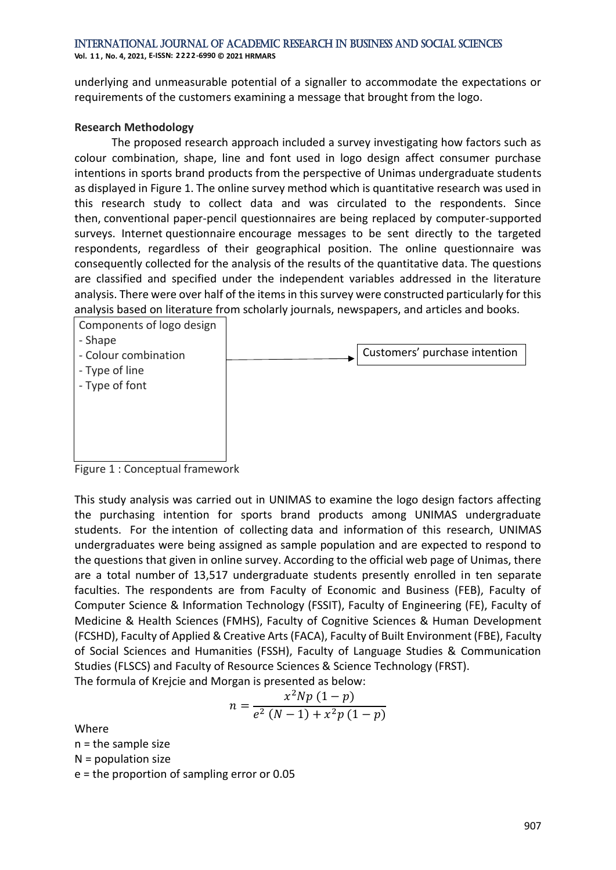**Vol. 1 1 , No. 4, 2021, E-ISSN: 2222-6990 © 2021 HRMARS**

underlying and unmeasurable potential of a signaller to accommodate the expectations or requirements of the customers examining a message that brought from the logo.

# **Research Methodology**

The proposed research approach included a survey investigating how factors such as colour combination, shape, line and font used in logo design affect consumer purchase intentions in sports brand products from the perspective of Unimas undergraduate students as displayed in Figure 1. The online survey method which is quantitative research was used in this research study to collect data and was circulated to the respondents. Since then, conventional paper-pencil questionnaires are being replaced by computer-supported surveys. Internet questionnaire encourage messages to be sent directly to the targeted respondents, regardless of their geographical position. The online questionnaire was consequently collected for the analysis of the results of the quantitative data. The questions are classified and specified under the independent variables addressed in the literature analysis. There were over half of the items in this survey were constructed particularly for this analysis based on literature from scholarly journals, newspapers, and articles and books.



Figure 1 : Conceptual framework

This study analysis was carried out in UNIMAS to examine the logo design factors affecting the purchasing intention for sports brand products among UNIMAS undergraduate students. For the intention of collecting data and information of this research, UNIMAS undergraduates were being assigned as sample population and are expected to respond to the questions that given in online survey. According to the official web page of Unimas, there are a total number of 13,517 undergraduate students presently enrolled in ten separate faculties. The respondents are from Faculty of Economic and Business (FEB), Faculty of Computer Science & Information Technology (FSSIT), Faculty of Engineering (FE), Faculty of Medicine & Health Sciences (FMHS), Faculty of Cognitive Sciences & Human Development (FCSHD), Faculty of Applied & Creative Arts (FACA), Faculty of Built Environment (FBE), Faculty of Social Sciences and Humanities (FSSH), Faculty of Language Studies & Communication Studies (FLSCS) and Faculty of Resource Sciences & Science Technology (FRST). The formula of Krejcie and Morgan is presented as below:

$$
n = \frac{x^2 N p (1-p)}{e^2 (N-1) + x^2 p (1-p)}
$$

Where

n = the sample size

N = population size

e = the proportion of sampling error or 0.05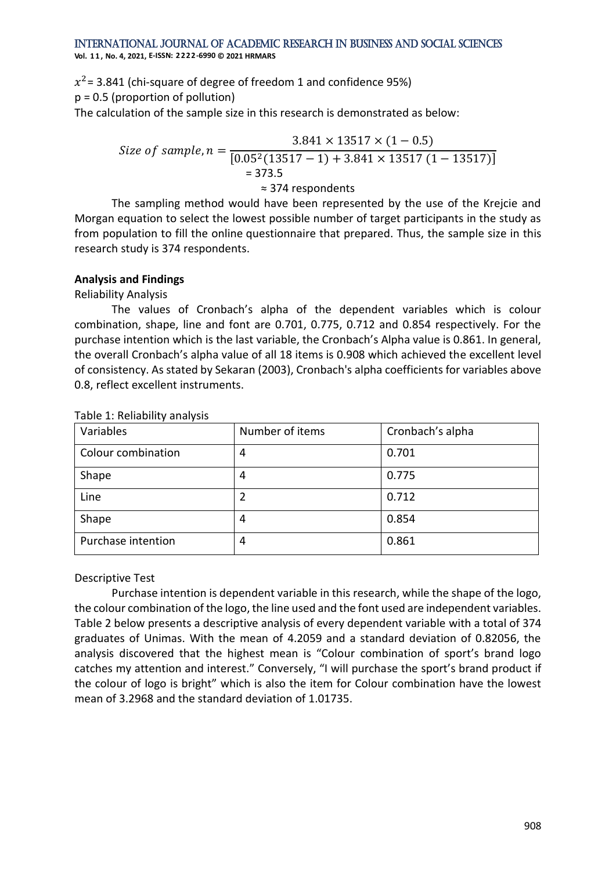**Vol. 1 1 , No. 4, 2021, E-ISSN: 2222-6990 © 2021 HRMARS**

 $x^2$ = 3.841 (chi-square of degree of freedom 1 and confidence 95%) p = 0.5 (proportion of pollution) The calculation of the sample size in this research is demonstrated as below:

Size of sample, 
$$
n = \frac{3.841 \times 13517 \times (1 - 0.5)}{[0.05^2(13517 - 1) + 3.841 \times 13517 (1 - 13517)]}
$$
  
= 373.5  
≈ 374 respondents

The sampling method would have been represented by the use of the Krejcie and Morgan equation to select the lowest possible number of target participants in the study as from population to fill the online questionnaire that prepared. Thus, the sample size in this research study is 374 respondents.

# **Analysis and Findings**

Reliability Analysis

The values of Cronbach's alpha of the dependent variables which is colour combination, shape, line and font are 0.701, 0.775, 0.712 and 0.854 respectively. For the purchase intention which is the last variable, the Cronbach's Alpha value is 0.861. In general, the overall Cronbach's alpha value of all 18 items is 0.908 which achieved the excellent level of consistency. As stated by Sekaran (2003), Cronbach's alpha coefficients for variables above 0.8, reflect excellent instruments.

| Variables          | Number of items | Cronbach's alpha |
|--------------------|-----------------|------------------|
| Colour combination | 4               | 0.701            |
| Shape              | 4               | 0.775            |
| Line               |                 | 0.712            |
| Shape              | 4               | 0.854            |
| Purchase intention | 4               | 0.861            |

Table 1: Reliability analysis

Descriptive Test

Purchase intention is dependent variable in this research, while the shape of the logo, the colour combination of the logo, the line used and the font used are independent variables. Table 2 below presents a descriptive analysis of every dependent variable with a total of 374 graduates of Unimas. With the mean of 4.2059 and a standard deviation of 0.82056, the analysis discovered that the highest mean is "Colour combination of sport's brand logo catches my attention and interest." Conversely, "I will purchase the sport's brand product if the colour of logo is bright" which is also the item for Colour combination have the lowest mean of 3.2968 and the standard deviation of 1.01735.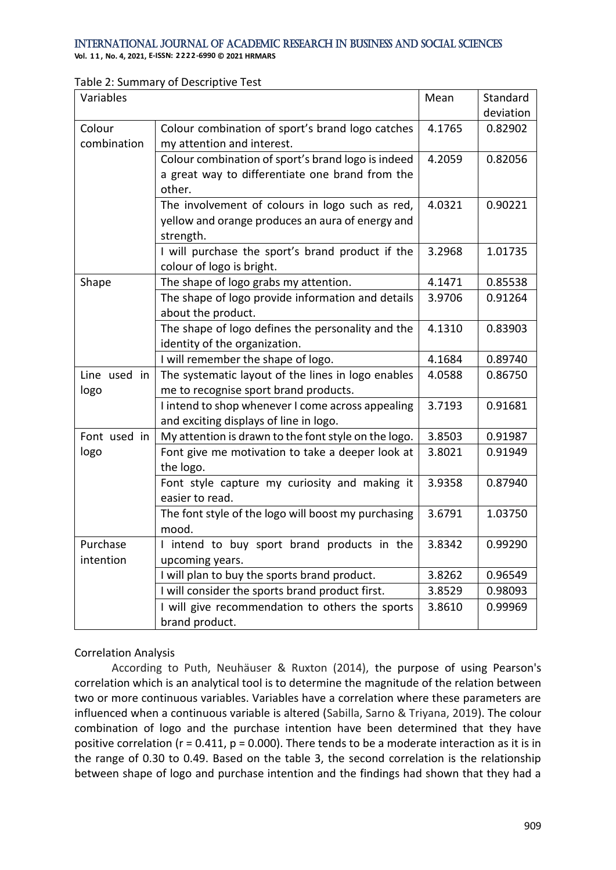**Vol. 1 1 , No. 4, 2021, E-ISSN: 2222-6990 © 2021 HRMARS**

## Table 2: Summary of Descriptive Test

| Variables    |                                                      | Mean   | Standard  |
|--------------|------------------------------------------------------|--------|-----------|
|              |                                                      |        | deviation |
| Colour       | Colour combination of sport's brand logo catches     | 4.1765 | 0.82902   |
| combination  | my attention and interest.                           |        |           |
|              | Colour combination of sport's brand logo is indeed   | 4.2059 | 0.82056   |
|              | a great way to differentiate one brand from the      |        |           |
|              | other.                                               |        |           |
|              | The involvement of colours in logo such as red,      | 4.0321 | 0.90221   |
|              | yellow and orange produces an aura of energy and     |        |           |
|              | strength.                                            |        |           |
|              | I will purchase the sport's brand product if the     | 3.2968 | 1.01735   |
|              | colour of logo is bright.                            |        |           |
| Shape        | The shape of logo grabs my attention.                | 4.1471 | 0.85538   |
|              | The shape of logo provide information and details    | 3.9706 | 0.91264   |
|              | about the product.                                   |        |           |
|              | The shape of logo defines the personality and the    | 4.1310 | 0.83903   |
|              | identity of the organization.                        |        |           |
|              | I will remember the shape of logo.                   | 4.1684 | 0.89740   |
| Line used in | The systematic layout of the lines in logo enables   | 4.0588 | 0.86750   |
| logo         | me to recognise sport brand products.                |        |           |
|              | I intend to shop whenever I come across appealing    | 3.7193 | 0.91681   |
|              | and exciting displays of line in logo.               |        |           |
| Font used in | My attention is drawn to the font style on the logo. | 3.8503 | 0.91987   |
| logo         | Font give me motivation to take a deeper look at     | 3.8021 | 0.91949   |
|              | the logo.                                            |        |           |
|              | Font style capture my curiosity and making it        | 3.9358 | 0.87940   |
|              | easier to read.                                      |        |           |
|              | The font style of the logo will boost my purchasing  | 3.6791 | 1.03750   |
|              | mood.                                                |        |           |
| Purchase     | I intend to buy sport brand products in the          | 3.8342 | 0.99290   |
| intention    | upcoming years.                                      |        |           |
|              | I will plan to buy the sports brand product.         | 3.8262 | 0.96549   |
|              | I will consider the sports brand product first.      | 3.8529 | 0.98093   |
|              | I will give recommendation to others the sports      | 3.8610 | 0.99969   |
|              | brand product.                                       |        |           |

# Correlation Analysis

According to Puth, Neuhäuser & Ruxton (2014), the purpose of using Pearson's correlation which is an analytical tool is to determine the magnitude of the relation between two or more continuous variables. Variables have a correlation where these parameters are influenced when a continuous variable is altered (Sabilla, Sarno & Triyana, 2019). The colour combination of logo and the purchase intention have been determined that they have positive correlation (r = 0.411, p = 0.000). There tends to be a moderate interaction as it is in the range of 0.30 to 0.49. Based on the table 3, the second correlation is the relationship between shape of logo and purchase intention and the findings had shown that they had a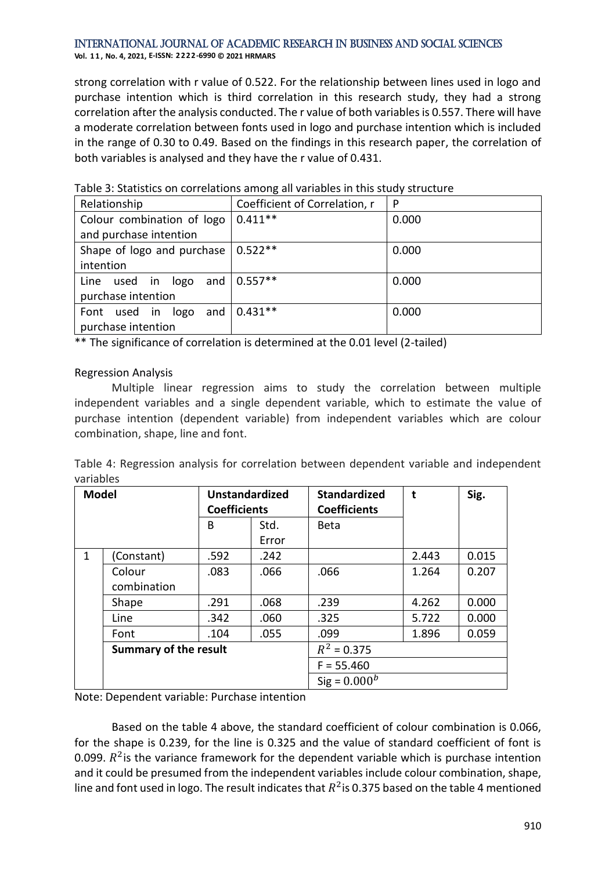#### International Journal of Academic Research in Business and Social Sciences **Vol. 1 1 , No. 4, 2021, E-ISSN: 2222-6990 © 2021 HRMARS**

strong correlation with r value of 0.522. For the relationship between lines used in logo and purchase intention which is third correlation in this research study, they had a strong correlation after the analysis conducted. The r value of both variables is 0.557. There will have a moderate correlation between fonts used in logo and purchase intention which is included in the range of 0.30 to 0.49. Based on the findings in this research paper, the correlation of both variables is analysed and they have the r value of 0.431.

| Relationship                   | Coefficient of Correlation, r | P     |
|--------------------------------|-------------------------------|-------|
| Colour combination of logo     | $0.411**$                     | 0.000 |
| and purchase intention         |                               |       |
| Shape of logo and purchase     | $0.522**$                     | 0.000 |
| intention                      |                               |       |
| Line used in logo              | and $ 0.557**$                | 0.000 |
| purchase intention             |                               |       |
| used in<br>logo<br>Font<br>and | $0.431**$                     | 0.000 |
| purchase intention             |                               |       |

Table 3: Statistics on correlations among all variables in this study structure

\*\* The significance of correlation is determined at the 0.01 level (2-tailed)

# Regression Analysis

Multiple linear regression aims to study the correlation between multiple independent variables and a single dependent variable, which to estimate the value of purchase intention (dependent variable) from independent variables which are colour combination, shape, line and font.

Table 4: Regression analysis for correlation between dependent variable and independent variables

| <b>Model</b> |                              | <b>Unstandardized</b><br><b>Coefficients</b> |       | <b>Standardized</b><br><b>Coefficients</b> | t     | Sig.  |
|--------------|------------------------------|----------------------------------------------|-------|--------------------------------------------|-------|-------|
|              |                              | B                                            | Std.  | Beta                                       |       |       |
|              |                              |                                              | Error |                                            |       |       |
| $\mathbf{1}$ | (Constant)                   | .592                                         | .242  |                                            | 2.443 | 0.015 |
|              | Colour                       | .083                                         | .066  | .066                                       | 1.264 | 0.207 |
|              | combination                  |                                              |       |                                            |       |       |
|              | Shape                        | .291                                         | .068  | .239                                       | 4.262 | 0.000 |
|              | Line                         | .342                                         | .060  | .325                                       | 5.722 | 0.000 |
|              | Font                         | .104                                         | .055  | .099                                       | 1.896 | 0.059 |
|              | <b>Summary of the result</b> |                                              |       | $R^2 = 0.375$                              |       |       |
|              |                              |                                              |       | $F = 55.460$                               |       |       |
|              |                              |                                              |       | Sig = $0.000^b$                            |       |       |

Note: Dependent variable: Purchase intention

Based on the table 4 above, the standard coefficient of colour combination is 0.066, for the shape is 0.239, for the line is 0.325 and the value of standard coefficient of font is 0.099.  $R^2$  is the variance framework for the dependent variable which is purchase intention and it could be presumed from the independent variables include colour combination, shape, line and font used in logo. The result indicates that  $R^2$  is 0.375 based on the table 4 mentioned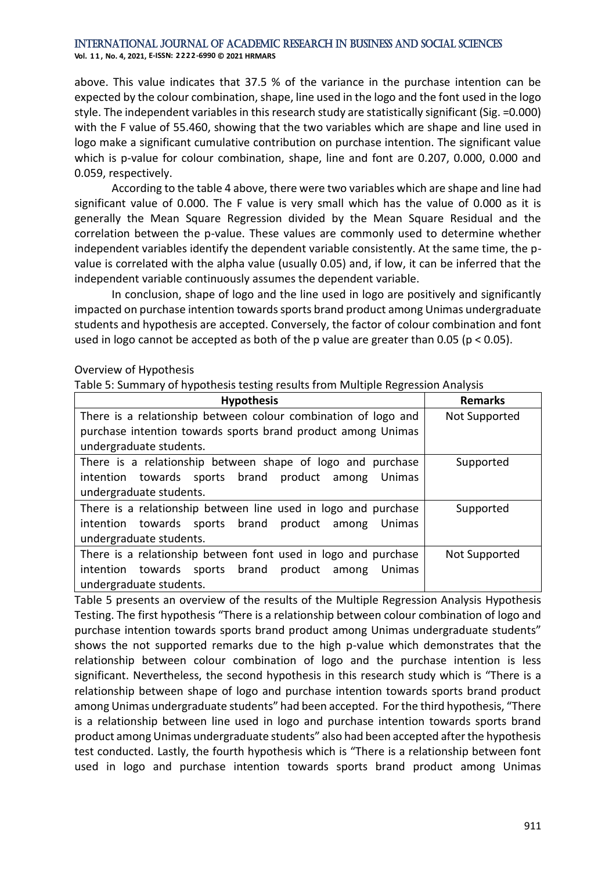**Vol. 1 1 , No. 4, 2021, E-ISSN: 2222-6990 © 2021 HRMARS**

above. This value indicates that 37.5 % of the variance in the purchase intention can be expected by the colour combination, shape, line used in the logo and the font used in the logo style. The independent variables in this research study are statistically significant (Sig. =0.000) with the F value of 55.460, showing that the two variables which are shape and line used in logo make a significant cumulative contribution on purchase intention. The significant value which is p-value for colour combination, shape, line and font are 0.207, 0.000, 0.000 and 0.059, respectively.

According to the table 4 above, there were two variables which are shape and line had significant value of 0.000. The F value is very small which has the value of 0.000 as it is generally the Mean Square Regression divided by the Mean Square Residual and the correlation between the p-value. These values are commonly used to determine whether independent variables identify the dependent variable consistently. At the same time, the pvalue is correlated with the alpha value (usually 0.05) and, if low, it can be inferred that the independent variable continuously assumes the dependent variable.

In conclusion, shape of logo and the line used in logo are positively and significantly impacted on purchase intention towards sports brand product among Unimas undergraduate students and hypothesis are accepted. Conversely, the factor of colour combination and font used in logo cannot be accepted as both of the p value are greater than 0.05 ( $p < 0.05$ ).

## Overview of Hypothesis

Table 5: Summary of hypothesis testing results from Multiple Regression Analysis

| <b>Hypothesis</b>                                                   | <b>Remarks</b> |
|---------------------------------------------------------------------|----------------|
| There is a relationship between colour combination of logo and      | Not Supported  |
| purchase intention towards sports brand product among Unimas        |                |
| undergraduate students.                                             |                |
| There is a relationship between shape of logo and purchase          | Supported      |
| towards sports brand product<br>intention<br><b>Unimas</b><br>among |                |
| undergraduate students.                                             |                |
| There is a relationship between line used in logo and purchase      | Supported      |
| intention towards sports brand product<br>Unimas<br>among           |                |
| undergraduate students.                                             |                |
| There is a relationship between font used in logo and purchase      | Not Supported  |
| intention towards sports brand product<br>Unimas<br>among           |                |
| undergraduate students.                                             |                |

Table 5 presents an overview of the results of the Multiple Regression Analysis Hypothesis Testing. The first hypothesis "There is a relationship between colour combination of logo and purchase intention towards sports brand product among Unimas undergraduate students" shows the not supported remarks due to the high p-value which demonstrates that the relationship between colour combination of logo and the purchase intention is less significant. Nevertheless, the second hypothesis in this research study which is "There is a relationship between shape of logo and purchase intention towards sports brand product among Unimas undergraduate students" had been accepted. For the third hypothesis, "There is a relationship between line used in logo and purchase intention towards sports brand product among Unimas undergraduate students" also had been accepted after the hypothesis test conducted. Lastly, the fourth hypothesis which is "There is a relationship between font used in logo and purchase intention towards sports brand product among Unimas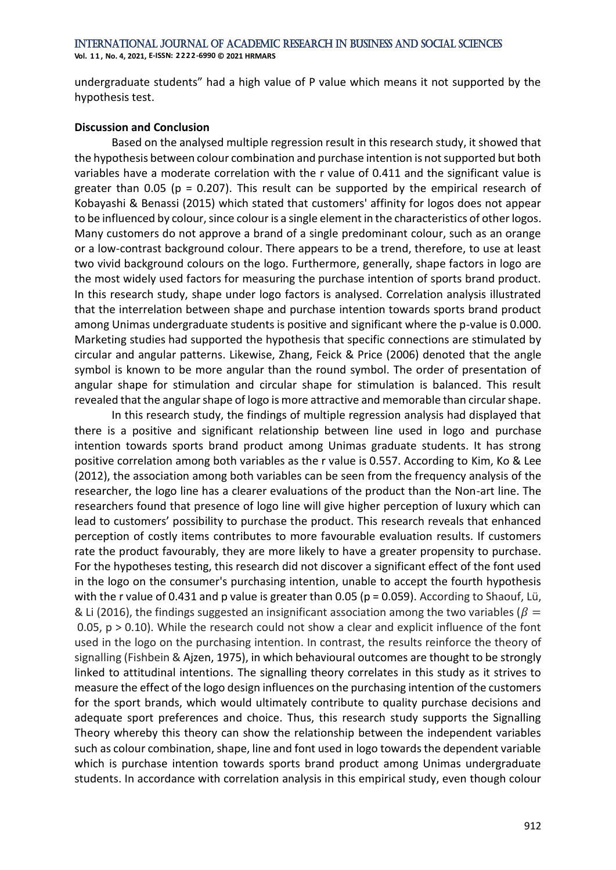**Vol. 1 1 , No. 4, 2021, E-ISSN: 2222-6990 © 2021 HRMARS**

undergraduate students" had a high value of P value which means it not supported by the hypothesis test.

# **Discussion and Conclusion**

Based on the analysed multiple regression result in this research study, it showed that the hypothesis between colour combination and purchase intention is not supported but both variables have a moderate correlation with the r value of 0.411 and the significant value is greater than 0.05 ( $p = 0.207$ ). This result can be supported by the empirical research of Kobayashi & Benassi (2015) which stated that customers' affinity for logos does not appear to be influenced by colour, since colour is a single element in the characteristics of other logos. Many customers do not approve a brand of a single predominant colour, such as an orange or a low-contrast background colour. There appears to be a trend, therefore, to use at least two vivid background colours on the logo. Furthermore, generally, shape factors in logo are the most widely used factors for measuring the purchase intention of sports brand product. In this research study, shape under logo factors is analysed. Correlation analysis illustrated that the interrelation between shape and purchase intention towards sports brand product among Unimas undergraduate students is positive and significant where the p-value is 0.000. Marketing studies had supported the hypothesis that specific connections are stimulated by circular and angular patterns. Likewise, Zhang, Feick & Price (2006) denoted that the angle symbol is known to be more angular than the round symbol. The order of presentation of angular shape for stimulation and circular shape for stimulation is balanced. This result revealed that the angular shape of logo is more attractive and memorable than circular shape.

In this research study, the findings of multiple regression analysis had displayed that there is a positive and significant relationship between line used in logo and purchase intention towards sports brand product among Unimas graduate students. It has strong positive correlation among both variables as the r value is 0.557. According to Kim, Ko & Lee (2012), the association among both variables can be seen from the frequency analysis of the researcher, the logo line has a clearer evaluations of the product than the Non-art line. The researchers found that presence of logo line will give higher perception of luxury which can lead to customers' possibility to purchase the product. This research reveals that enhanced perception of costly items contributes to more favourable evaluation results. If customers rate the product favourably, they are more likely to have a greater propensity to purchase. For the hypotheses testing, this research did not discover a significant effect of the font used in the logo on the consumer's purchasing intention, unable to accept the fourth hypothesis with the r value of 0.431 and p value is greater than 0.05 ( $p = 0.059$ ). According to Shaouf, Lü, & Li (2016), the findings suggested an insignificant association among the two variables ( $\beta =$ 0.05,  $p > 0.10$ ). While the research could not show a clear and explicit influence of the font used in the logo on the purchasing intention. In contrast, the results reinforce the theory of signalling (Fishbein & Ajzen, 1975), in which behavioural outcomes are thought to be strongly linked to attitudinal intentions. The signalling theory correlates in this study as it strives to measure the effect of the logo design influences on the purchasing intention of the customers for the sport brands, which would ultimately contribute to quality purchase decisions and adequate sport preferences and choice. Thus, this research study supports the Signalling Theory whereby this theory can show the relationship between the independent variables such as colour combination, shape, line and font used in logo towards the dependent variable which is purchase intention towards sports brand product among Unimas undergraduate students. In accordance with correlation analysis in this empirical study, even though colour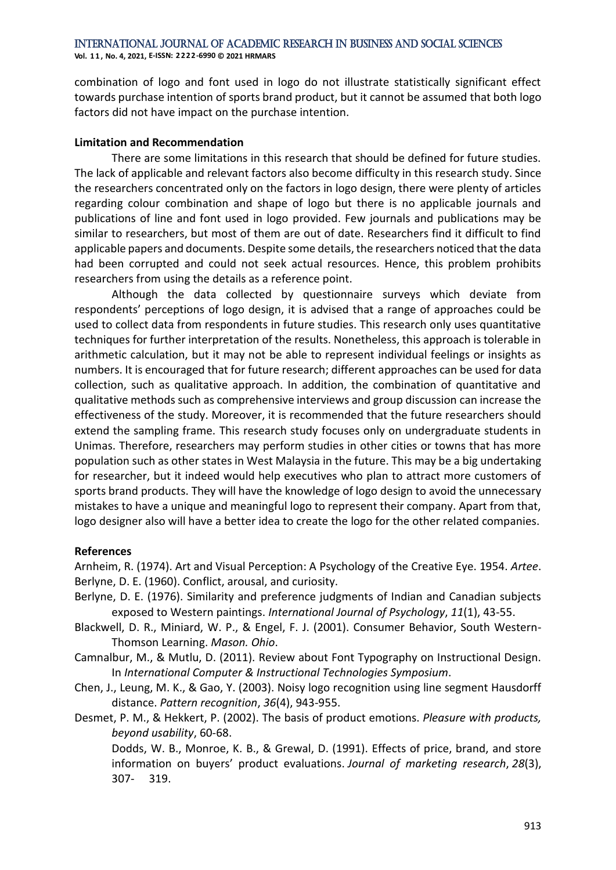**Vol. 1 1 , No. 4, 2021, E-ISSN: 2222-6990 © 2021 HRMARS**

combination of logo and font used in logo do not illustrate statistically significant effect towards purchase intention of sports brand product, but it cannot be assumed that both logo factors did not have impact on the purchase intention.

# **Limitation and Recommendation**

There are some limitations in this research that should be defined for future studies. The lack of applicable and relevant factors also become difficulty in this research study. Since the researchers concentrated only on the factors in logo design, there were plenty of articles regarding colour combination and shape of logo but there is no applicable journals and publications of line and font used in logo provided. Few journals and publications may be similar to researchers, but most of them are out of date. Researchers find it difficult to find applicable papers and documents. Despite some details, the researchers noticed that the data had been corrupted and could not seek actual resources. Hence, this problem prohibits researchers from using the details as a reference point.

Although the data collected by questionnaire surveys which deviate from respondents' perceptions of logo design, it is advised that a range of approaches could be used to collect data from respondents in future studies. This research only uses quantitative techniques for further interpretation of the results. Nonetheless, this approach is tolerable in arithmetic calculation, but it may not be able to represent individual feelings or insights as numbers. It is encouraged that for future research; different approaches can be used for data collection, such as qualitative approach. In addition, the combination of quantitative and qualitative methods such as comprehensive interviews and group discussion can increase the effectiveness of the study. Moreover, it is recommended that the future researchers should extend the sampling frame. This research study focuses only on undergraduate students in Unimas. Therefore, researchers may perform studies in other cities or towns that has more population such as other states in West Malaysia in the future. This may be a big undertaking for researcher, but it indeed would help executives who plan to attract more customers of sports brand products. They will have the knowledge of logo design to avoid the unnecessary mistakes to have a unique and meaningful logo to represent their company. Apart from that, logo designer also will have a better idea to create the logo for the other related companies.

# **References**

Arnheim, R. (1974). Art and Visual Perception: A Psychology of the Creative Eye. 1954. *Artee*. Berlyne, D. E. (1960). Conflict, arousal, and curiosity.

- Berlyne, D. E. (1976). Similarity and preference judgments of Indian and Canadian subjects exposed to Western paintings. *International Journal of Psychology*, *11*(1), 43-55.
- Blackwell, D. R., Miniard, W. P., & Engel, F. J. (2001). Consumer Behavior, South Western-Thomson Learning. *Mason. Ohio*.
- Camnalbur, M., & Mutlu, D. (2011). Review about Font Typography on Instructional Design. In *International Computer & Instructional Technologies Symposium*.
- Chen, J., Leung, M. K., & Gao, Y. (2003). Noisy logo recognition using line segment Hausdorff distance. *Pattern recognition*, *36*(4), 943-955.
- Desmet, P. M., & Hekkert, P. (2002). The basis of product emotions. *Pleasure with products, beyond usability*, 60-68.

Dodds, W. B., Monroe, K. B., & Grewal, D. (1991). Effects of price, brand, and store information on buyers' product evaluations. *Journal of marketing research*, *28*(3), 307- 319.